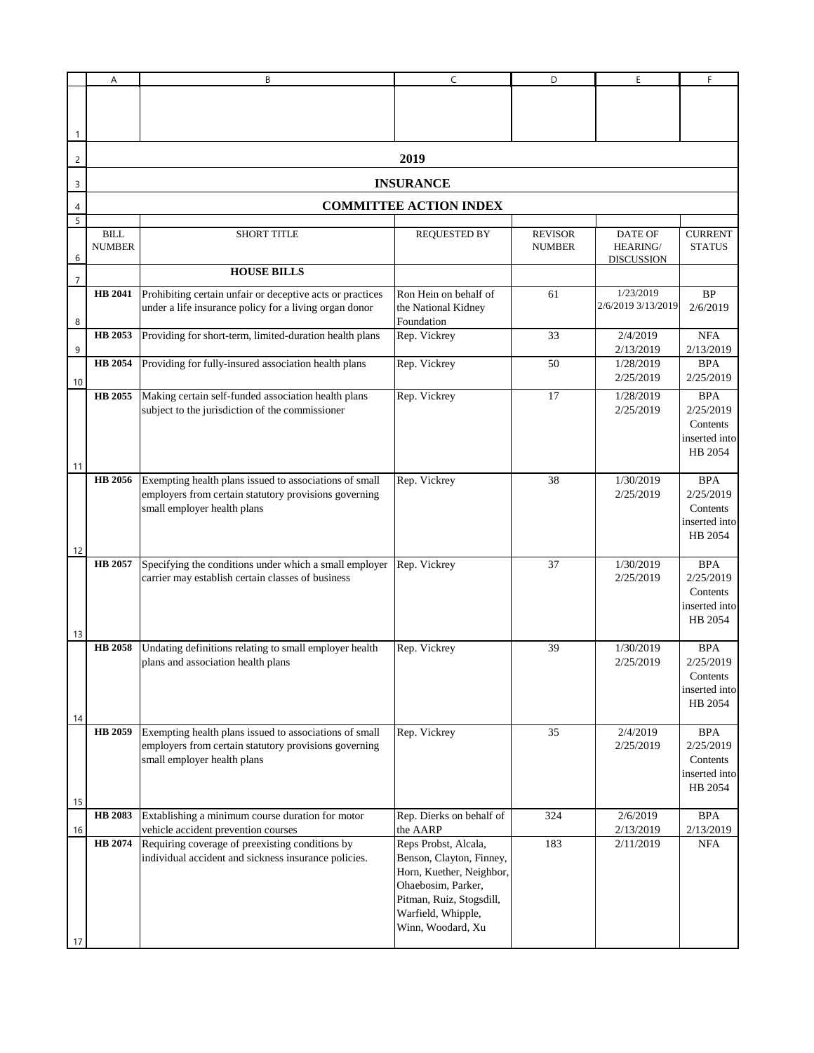|                | Α                             | В                                                                                                                                              | C                                                                                                                                                                                     | D                               | E                                               | F                                                               |  |  |  |  |
|----------------|-------------------------------|------------------------------------------------------------------------------------------------------------------------------------------------|---------------------------------------------------------------------------------------------------------------------------------------------------------------------------------------|---------------------------------|-------------------------------------------------|-----------------------------------------------------------------|--|--|--|--|
| -1             |                               |                                                                                                                                                |                                                                                                                                                                                       |                                 |                                                 |                                                                 |  |  |  |  |
| $\overline{c}$ | 2019                          |                                                                                                                                                |                                                                                                                                                                                       |                                 |                                                 |                                                                 |  |  |  |  |
| 3              | <b>INSURANCE</b>              |                                                                                                                                                |                                                                                                                                                                                       |                                 |                                                 |                                                                 |  |  |  |  |
| 4              | <b>COMMITTEE ACTION INDEX</b> |                                                                                                                                                |                                                                                                                                                                                       |                                 |                                                 |                                                                 |  |  |  |  |
| 5              |                               |                                                                                                                                                |                                                                                                                                                                                       |                                 |                                                 |                                                                 |  |  |  |  |
| 6              | <b>BILL</b><br><b>NUMBER</b>  | <b>SHORT TITLE</b>                                                                                                                             | <b>REQUESTED BY</b>                                                                                                                                                                   | <b>REVISOR</b><br><b>NUMBER</b> | <b>DATE OF</b><br>HEARING/<br><b>DISCUSSION</b> | <b>CURRENT</b><br><b>STATUS</b>                                 |  |  |  |  |
| 7              |                               | <b>HOUSE BILLS</b>                                                                                                                             |                                                                                                                                                                                       |                                 |                                                 |                                                                 |  |  |  |  |
| 8              | HB 2041                       | Prohibiting certain unfair or deceptive acts or practices<br>under a life insurance policy for a living organ donor                            | Ron Hein on behalf of<br>the National Kidney<br>Foundation                                                                                                                            | 61                              | 1/23/2019<br>2/6/2019 3/13/2019                 | <b>BP</b><br>2/6/2019                                           |  |  |  |  |
| 9              | HB 2053                       | Providing for short-term, limited-duration health plans                                                                                        | Rep. Vickrey                                                                                                                                                                          | 33                              | 2/4/2019<br>2/13/2019                           | <b>NFA</b><br>2/13/2019                                         |  |  |  |  |
| 10             | HB 2054                       | Providing for fully-insured association health plans                                                                                           | Rep. Vickrey                                                                                                                                                                          | 50                              | 1/28/2019<br>2/25/2019                          | <b>BPA</b><br>2/25/2019                                         |  |  |  |  |
| 11             | HB 2055                       | Making certain self-funded association health plans<br>subject to the jurisdiction of the commissioner                                         | Rep. Vickrey                                                                                                                                                                          | 17                              | 1/28/2019<br>2/25/2019                          | <b>BPA</b><br>2/25/2019<br>Contents<br>inserted into<br>HB 2054 |  |  |  |  |
| 12             | HB 2056                       | Exempting health plans issued to associations of small<br>employers from certain statutory provisions governing<br>small employer health plans | Rep. Vickrey                                                                                                                                                                          | 38                              | 1/30/2019<br>2/25/2019                          | <b>BPA</b><br>2/25/2019<br>Contents<br>inserted into<br>HB 2054 |  |  |  |  |
| 13             | HB 2057                       | Specifying the conditions under which a small employer<br>carrier may establish certain classes of business                                    | Rep. Vickrey                                                                                                                                                                          | 37                              | 1/30/2019<br>2/25/2019                          | <b>BPA</b><br>2/25/2019<br>Contents<br>inserted into<br>HB 2054 |  |  |  |  |
| 14             | <b>HB</b> 2058                | Undating definitions relating to small employer health<br>plans and association health plans                                                   | Rep. Vickrey                                                                                                                                                                          | 39                              | 1/30/2019<br>2/25/2019                          | <b>BPA</b><br>2/25/2019<br>Contents<br>inserted into<br>HB 2054 |  |  |  |  |
| 15             | HB 2059                       | Exempting health plans issued to associations of small<br>employers from certain statutory provisions governing<br>small employer health plans | Rep. Vickrey                                                                                                                                                                          | 35                              | 2/4/2019<br>2/25/2019                           | <b>BPA</b><br>2/25/2019<br>Contents<br>inserted into<br>HB 2054 |  |  |  |  |
|                | HB 2083                       | Extablishing a minimum course duration for motor                                                                                               | Rep. Dierks on behalf of                                                                                                                                                              | 324                             | 2/6/2019                                        | <b>BPA</b>                                                      |  |  |  |  |
| 16             | HB 2074                       | vehicle accident prevention courses<br>Requiring coverage of preexisting conditions by<br>individual accident and sickness insurance policies. | the AARP<br>Reps Probst, Alcala,<br>Benson, Clayton, Finney,<br>Horn, Kuether, Neighbor,<br>Ohaebosim, Parker,<br>Pitman, Ruiz, Stogsdill,<br>Warfield, Whipple,<br>Winn, Woodard, Xu | 183                             | 2/13/2019<br>2/11/2019                          | 2/13/2019<br><b>NFA</b>                                         |  |  |  |  |